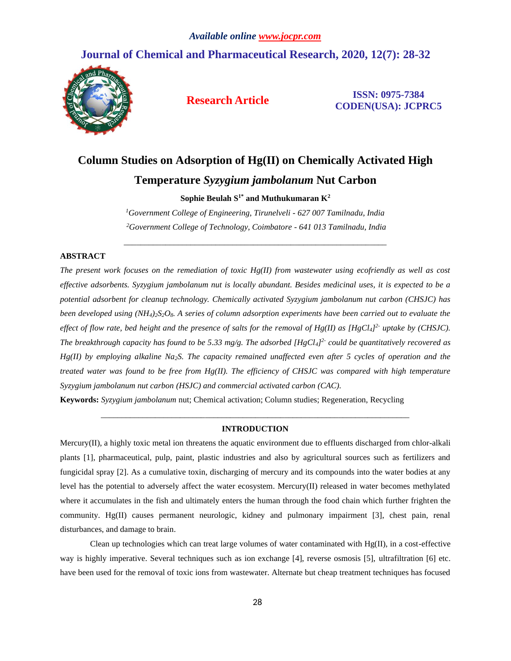# **Journal of Chemical and Pharmaceutical Research, 2020, 12(7): 28-32**



**Research Article ISSN: 0975-7384 CODEN(USA): JCPRC5**

# **Column Studies on Adsorption of Hg(II) on Chemically Activated High**

# **Temperature** *Syzygium jambolanum* **Nut Carbon**

 $\mathbf{Sophie}$  Beulah  $\mathbf{S}^{1*}$  and Muthukumaran  $\mathbf{K}^{2}$ 

*<sup>1</sup>Government College of Engineering, Tirunelveli - 627 007 Tamilnadu, India <sup>2</sup>Government College of Technology, Coimbatore - 641 013 Tamilnadu, India*

\_\_\_\_\_\_\_\_\_\_\_\_\_\_\_\_\_\_\_\_\_\_\_\_\_\_\_\_\_\_\_\_\_\_\_\_\_\_\_\_\_\_\_\_\_\_\_\_\_\_\_\_\_\_\_\_\_\_\_\_\_\_\_

#### **ABSTRACT**

*The present work focuses on the remediation of toxic Hg(II) from wastewater using ecofriendly as well as cost effective adsorbents. Syzygium jambolanum nut is locally abundant. Besides medicinal uses, it is expected to be a potential adsorbent for cleanup technology. Chemically activated Syzygium jambolanum nut carbon (CHSJC) has been developed using (NH4)2S2O8. A series of column adsorption experiments have been carried out to evaluate the effect of flow rate, bed height and the presence of salts for the removal of Hg(II) as [HgCl4] 2- uptake by (CHSJC). The breakthrough capacity has found to be 5.33 mg/g. The adsorbed [HgCl4] 2- could be quantitatively recovered as Hg(II) by employing alkaline Na2S. The capacity remained unaffected even after 5 cycles of operation and the treated water was found to be free from Hg(II). The efficiency of CHSJC was compared with high temperature Syzygium jambolanum nut carbon (HSJC) and commercial activated carbon (CAC).*

**Keywords:** *Syzygium jambolanum* nut; Chemical activation; Column studies; Regeneration, Recycling

## *\_\_\_\_\_\_\_\_\_\_\_\_\_\_\_\_\_\_\_\_\_\_\_\_\_\_\_\_\_\_\_\_\_\_\_\_\_\_\_\_\_\_\_\_\_\_\_\_\_\_\_\_\_\_\_\_\_\_\_\_\_\_\_\_\_\_\_\_\_\_\_\_\_\_* **INTRODUCTION**

Mercury(II), a highly toxic metal ion threatens the aquatic environment due to effluents discharged from chlor-alkali plants [1], pharmaceutical, pulp, paint, plastic industries and also by agricultural sources such as fertilizers and fungicidal spray [2]. As a cumulative toxin, discharging of mercury and its compounds into the water bodies at any level has the potential to adversely affect the water ecosystem. Mercury(II) released in water becomes methylated where it accumulates in the fish and ultimately enters the human through the food chain which further frighten the community. Hg(II) causes permanent neurologic, kidney and pulmonary impairment [3], chest pain, renal disturbances, and damage to brain.

Clean up technologies which can treat large volumes of water contaminated with  $Hg(\Pi)$ , in a cost-effective way is highly imperative. Several techniques such as ion exchange [4], reverse osmosis [5], ultrafiltration [6] etc. have been used for the removal of toxic ions from wastewater. Alternate but cheap treatment techniques has focused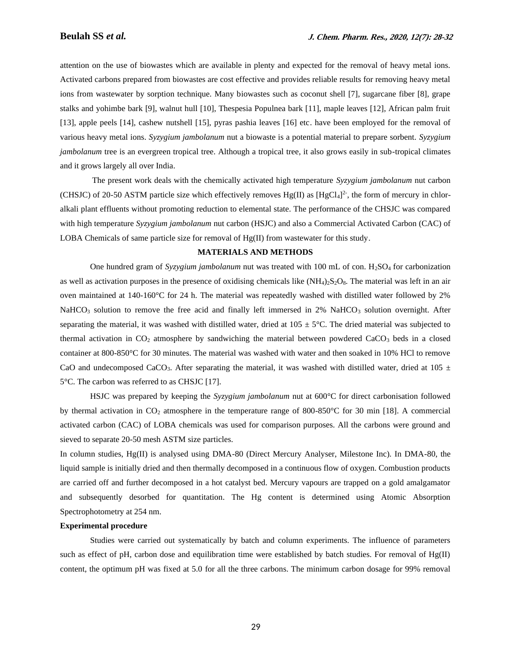attention on the use of biowastes which are available in plenty and expected for the removal of heavy metal ions. Activated carbons prepared from biowastes are cost effective and provides reliable results for removing heavy metal ions from wastewater by sorption technique. Many biowastes such as coconut shell [7], sugarcane fiber [8], grape stalks and yohimbe bark [9], walnut hull [10], Thespesia Populnea bark [11], maple leaves [12], African palm fruit [13], apple peels [14], cashew nutshell [15], pyras pashia leaves [16] etc. have been employed for the removal of various heavy metal ions. *Syzygium jambolanum* nut a biowaste is a potential material to prepare sorbent. *Syzygium jambolanum* tree is an evergreen tropical tree. Although a tropical tree, it also grows easily in sub-tropical climates and it grows largely all over India.

The present work deals with the chemically activated high temperature *Syzygium jambolanum* nut carbon (CHSJC) of 20-50 ASTM particle size which effectively removes  $Hg(II)$  as  $[HgCl<sub>4</sub>]<sup>2</sup>$ , the form of mercury in chloralkali plant effluents without promoting reduction to elemental state. The performance of the CHSJC was compared with high temperature *Syzygium jambolanum* nut carbon (HSJC) and also a Commercial Activated Carbon (CAC) of LOBA Chemicals of same particle size for removal of Hg(II) from wastewater for this study.

#### **MATERIALS AND METHODS**

One hundred gram of *Syzygium jambolanum* nut was treated with 100 mL of con. H2SO<sup>4</sup> for carbonization as well as activation purposes in the presence of oxidising chemicals like  $(NH_4)_2S_2O_8$ . The material was left in an air oven maintained at 140-160°C for 24 h. The material was repeatedly washed with distilled water followed by 2%  $NaHCO<sub>3</sub>$  solution to remove the free acid and finally left immersed in 2% NaHCO<sub>3</sub> solution overnight. After separating the material, it was washed with distilled water, dried at  $105 \pm 5^{\circ}$ C. The dried material was subjected to thermal activation in  $CO<sub>2</sub>$  atmosphere by sandwiching the material between powdered  $CaCO<sub>3</sub>$  beds in a closed container at 800-850°C for 30 minutes. The material was washed with water and then soaked in 10% HCl to remove CaO and undecomposed CaCO<sub>3</sub>. After separating the material, it was washed with distilled water, dried at 105  $\pm$ 5°C. The carbon was referred to as CHSJC [17].

HSJC was prepared by keeping the *Syzygium jambolanum* nut at 600°C for direct carbonisation followed by thermal activation in  $CO_2$  atmosphere in the temperature range of 800-850 $\degree$ C for 30 min [18]. A commercial activated carbon (CAC) of LOBA chemicals was used for comparison purposes. All the carbons were ground and sieved to separate 20-50 mesh ASTM size particles.

In column studies, Hg(II) is analysed using DMA-80 (Direct Mercury Analyser, Milestone Inc). In DMA-80, the liquid sample is initially dried and then thermally decomposed in a continuous flow of oxygen. Combustion products are carried off and further decomposed in a hot catalyst bed. Mercury vapours are trapped on a gold amalgamator and subsequently desorbed for quantitation. The Hg content is determined using Atomic Absorption Spectrophotometry at 254 nm.

#### **Experimental procedure**

Studies were carried out systematically by batch and column experiments. The influence of parameters such as effect of pH, carbon dose and equilibration time were established by batch studies. For removal of  $Hg(II)$ content, the optimum pH was fixed at 5.0 for all the three carbons. The minimum carbon dosage for 99% removal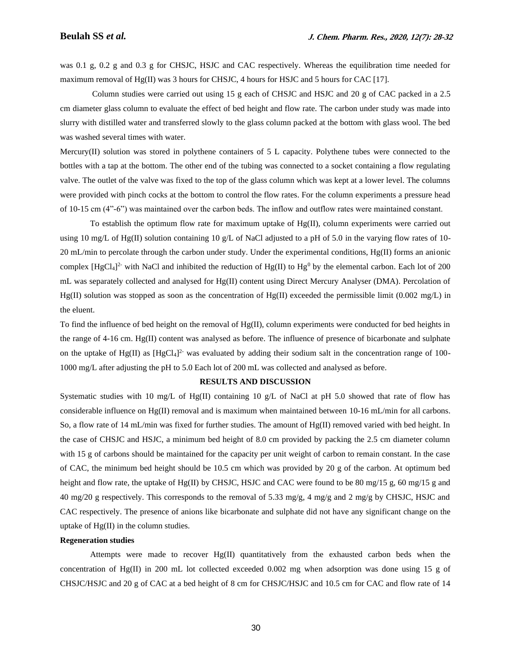was 0.1 g, 0.2 g and 0.3 g for CHSJC, HSJC and CAC respectively. Whereas the equilibration time needed for maximum removal of Hg(II) was 3 hours for CHSJC, 4 hours for HSJC and 5 hours for CAC [17].

Column studies were carried out using 15 g each of CHSJC and HSJC and 20 g of CAC packed in a 2.5 cm diameter glass column to evaluate the effect of bed height and flow rate. The carbon under study was made into slurry with distilled water and transferred slowly to the glass column packed at the bottom with glass wool. The bed was washed several times with water.

Mercury(II) solution was stored in polythene containers of 5 L capacity. Polythene tubes were connected to the bottles with a tap at the bottom. The other end of the tubing was connected to a socket containing a flow regulating valve. The outlet of the valve was fixed to the top of the glass column which was kept at a lower level. The columns were provided with pinch cocks at the bottom to control the flow rates. For the column experiments a pressure head of 10-15 cm (4"-6") was maintained over the carbon beds. The inflow and outflow rates were maintained constant.

To establish the optimum flow rate for maximum uptake of Hg(II), column experiments were carried out using 10 mg/L of Hg(II) solution containing 10 g/L of NaCl adjusted to a pH of 5.0 in the varying flow rates of 10-20 mL/min to percolate through the carbon under study. Under the experimental conditions, Hg(II) forms an anionic complex  $[HgCl<sub>4</sub>]<sup>2</sup>$  with NaCl and inhibited the reduction of  $Hg(II)$  to  $Hg<sup>0</sup>$  by the elemental carbon. Each lot of 200 mL was separately collected and analysed for Hg(II) content using Direct Mercury Analyser (DMA). Percolation of  $Hg(II)$  solution was stopped as soon as the concentration of  $Hg(II)$  exceeded the permissible limit (0.002 mg/L) in the eluent.

To find the influence of bed height on the removal of  $Hg(II)$ , column experiments were conducted for bed heights in the range of 4-16 cm. Hg(II) content was analysed as before. The influence of presence of bicarbonate and sulphate on the uptake of Hg(II) as [HgCl<sub>4</sub>]<sup>2</sup> was evaluated by adding their sodium salt in the concentration range of 100-1000 mg/L after adjusting the pH to 5.0 Each lot of 200 mL was collected and analysed as before.

#### **RESULTS AND DISCUSSION**

Systematic studies with 10 mg/L of Hg(II) containing 10 g/L of NaCl at pH 5.0 showed that rate of flow has considerable influence on Hg(II) removal and is maximum when maintained between 10-16 mL/min for all carbons. So, a flow rate of 14 mL/min was fixed for further studies. The amount of Hg(II) removed varied with bed height. In the case of CHSJC and HSJC, a minimum bed height of 8.0 cm provided by packing the 2.5 cm diameter column with 15 g of carbons should be maintained for the capacity per unit weight of carbon to remain constant. In the case of CAC, the minimum bed height should be 10.5 cm which was provided by 20 g of the carbon. At optimum bed height and flow rate, the uptake of Hg(II) by CHSJC, HSJC and CAC were found to be 80 mg/15 g, 60 mg/15 g and 40 mg/20 g respectively. This corresponds to the removal of 5.33 mg/g, 4 mg/g and 2 mg/g by CHSJC, HSJC and CAC respectively. The presence of anions like bicarbonate and sulphate did not have any significant change on the uptake of Hg(II) in the column studies.

#### **Regeneration studies**

Attempts were made to recover Hg(II) quantitatively from the exhausted carbon beds when the concentration of Hg(II) in 200 mL lot collected exceeded 0.002 mg when adsorption was done using 15 g of CHSJC/HSJC and 20 g of CAC at a bed height of 8 cm for CHSJC/HSJC and 10.5 cm for CAC and flow rate of 14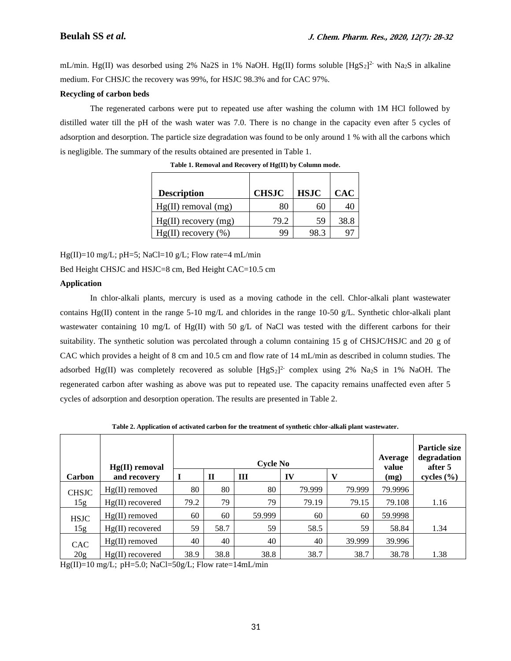mL/min. Hg(II) was desorbed using 2% Na2S in 1% NaOH. Hg(II) forms soluble  $[HgS_2]^2$  with Na<sub>2</sub>S in alkaline medium. For CHSJC the recovery was 99%, for HSJC 98.3% and for CAC 97%.

### **Recycling of carbon beds**

The regenerated carbons were put to repeated use after washing the column with 1M HCl followed by distilled water till the pH of the wash water was 7.0. There is no change in the capacity even after 5 cycles of adsorption and desorption. The particle size degradation was found to be only around 1 % with all the carbons which is negligible. The summary of the results obtained are presented in Table 1.

| <b>Description</b>       | <b>CHSJC</b> | <b>HSJC</b> | <b>CAC</b> |
|--------------------------|--------------|-------------|------------|
| $Hg(II)$ removal $(mg)$  | 80           | 60          |            |
| $Hg(II)$ recovery $(mg)$ | 79.2         | 59          | 38.8       |
| $Hg(II)$ recovery $(\%)$ | 99           | 98.3        |            |

**Table 1. Removal and Recovery of Hg(II) by Column mode.**

 $Hg(II)=10$  mg/L; pH=5; NaCl=10 g/L; Flow rate=4 mL/min

Bed Height CHSJC and HSJC=8 cm, Bed Height CAC=10.5 cm

## **Application**

In chlor-alkali plants, mercury is used as a moving cathode in the cell. Chlor-alkali plant wastewater contains Hg(II) content in the range 5-10 mg/L and chlorides in the range 10-50 g/L. Synthetic chlor-alkali plant wastewater containing 10 mg/L of Hg(II) with 50 g/L of NaCl was tested with the different carbons for their suitability. The synthetic solution was percolated through a column containing 15 g of CHSJC/HSJC and 20 g of CAC which provides a height of 8 cm and 10.5 cm and flow rate of 14 mL/min as described in column studies. The adsorbed Hg(II) was completely recovered as soluble  $[HgS_2]^2$  complex using 2% Na<sub>2</sub>S in 1% NaOH. The regenerated carbon after washing as above was put to repeated use. The capacity remains unaffected even after 5 cycles of adsorption and desorption operation. The results are presented in Table 2.

**Table 2. Application of activated carbon for the treatment of synthetic chlor-alkali plant wastewater.**

| Carbon              | $Hg(II)$ removal<br>and recovery | <b>Cycle No</b><br>$\mathbf{V}$<br>$\mathbf{I}$<br>IV<br>Ш |      |        |        | Average<br>value<br>(mg) | <b>Particle size</b><br>degradation<br>after 5<br>cycles $(\% )$ |      |
|---------------------|----------------------------------|------------------------------------------------------------|------|--------|--------|--------------------------|------------------------------------------------------------------|------|
| <b>CHSJC</b><br>15g | $Hg(II)$ removed                 | 80                                                         | 80   | 80     | 79.999 | 79.999                   | 79.9996                                                          |      |
|                     | $Hg(II)$ recovered               | 79.2                                                       | 79   | 79     | 79.19  | 79.15                    | 79.108                                                           | 1.16 |
| <b>HSJC</b><br>15g  | $Hg(II)$ removed                 | 60                                                         | 60   | 59.999 | 60     | 60                       | 59.9998                                                          |      |
|                     | $Hg(II)$ recovered               | 59                                                         | 58.7 | 59     | 58.5   | 59                       | 58.84                                                            | 1.34 |
| <b>CAC</b><br>20g   | $Hg(II)$ removed                 | 40                                                         | 40   | 40     | 40     | 39.999                   | 39.996                                                           |      |
|                     | $Hg(II)$ recovered               | 38.9                                                       | 38.8 | 38.8   | 38.7   | 38.7                     | 38.78                                                            | 1.38 |

Hg(II)=10 mg/L; pH=5.0; NaCl=50g/L; Flow rate=14mL/min